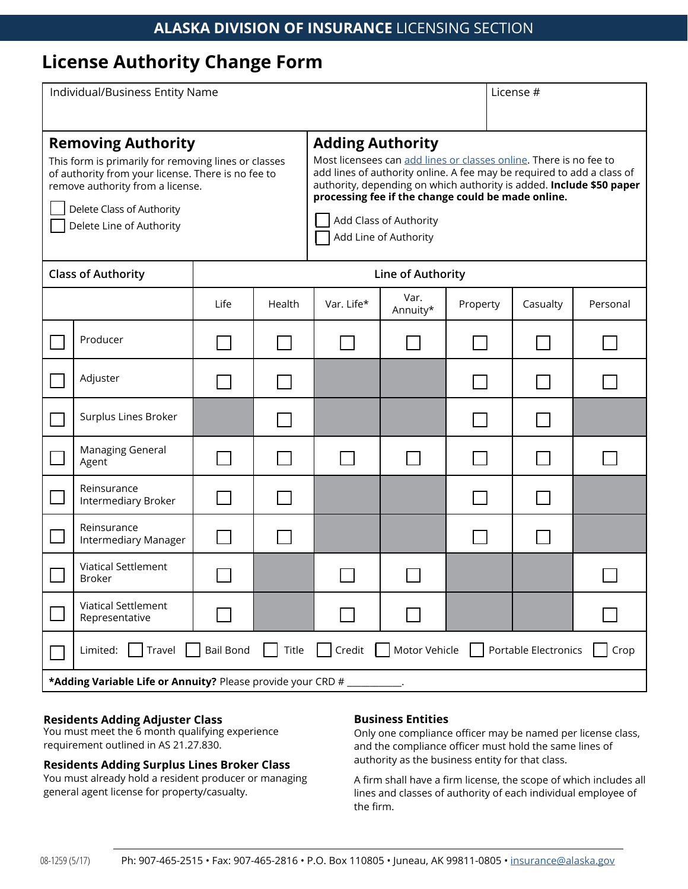# **License Authority Change Form**

| Individual/Business Entity Name                                                                                                                                                                                                      |                                                                                                                            |      |                   |                                                                                                                                                                                                                                                                                                                                                          |                  |          | License # |          |  |
|--------------------------------------------------------------------------------------------------------------------------------------------------------------------------------------------------------------------------------------|----------------------------------------------------------------------------------------------------------------------------|------|-------------------|----------------------------------------------------------------------------------------------------------------------------------------------------------------------------------------------------------------------------------------------------------------------------------------------------------------------------------------------------------|------------------|----------|-----------|----------|--|
| <b>Removing Authority</b><br>This form is primarily for removing lines or classes<br>of authority from your license. There is no fee to<br>remove authority from a license.<br>Delete Class of Authority<br>Delete Line of Authority |                                                                                                                            |      |                   | <b>Adding Authority</b><br>Most licensees can add lines or classes online. There is no fee to<br>add lines of authority online. A fee may be required to add a class of<br>authority, depending on which authority is added. Include \$50 paper<br>processing fee if the change could be made online.<br>Add Class of Authority<br>Add Line of Authority |                  |          |           |          |  |
| <b>Class of Authority</b>                                                                                                                                                                                                            |                                                                                                                            |      | Line of Authority |                                                                                                                                                                                                                                                                                                                                                          |                  |          |           |          |  |
|                                                                                                                                                                                                                                      |                                                                                                                            | Life | Health            | Var. Life*                                                                                                                                                                                                                                                                                                                                               | Var.<br>Annuity* | Property | Casualty  | Personal |  |
|                                                                                                                                                                                                                                      | Producer                                                                                                                   |      |                   |                                                                                                                                                                                                                                                                                                                                                          |                  |          |           |          |  |
|                                                                                                                                                                                                                                      | Adjuster                                                                                                                   |      |                   |                                                                                                                                                                                                                                                                                                                                                          |                  |          |           |          |  |
|                                                                                                                                                                                                                                      | Surplus Lines Broker                                                                                                       |      |                   |                                                                                                                                                                                                                                                                                                                                                          |                  |          |           |          |  |
|                                                                                                                                                                                                                                      | Managing General<br>Agent                                                                                                  |      |                   |                                                                                                                                                                                                                                                                                                                                                          |                  |          |           |          |  |
|                                                                                                                                                                                                                                      | Reinsurance<br>Intermediary Broker                                                                                         |      |                   |                                                                                                                                                                                                                                                                                                                                                          |                  |          |           |          |  |
|                                                                                                                                                                                                                                      | Reinsurance<br>Intermediary Manager                                                                                        |      |                   |                                                                                                                                                                                                                                                                                                                                                          |                  |          |           |          |  |
|                                                                                                                                                                                                                                      | <b>Viatical Settlement</b><br><b>Broker</b>                                                                                |      |                   |                                                                                                                                                                                                                                                                                                                                                          |                  |          |           |          |  |
|                                                                                                                                                                                                                                      | <b>Viatical Settlement</b><br>Representative                                                                               |      |                   |                                                                                                                                                                                                                                                                                                                                                          |                  |          |           |          |  |
|                                                                                                                                                                                                                                      | <b>Bail Bond</b><br>Title<br>Credit<br>Motor Vehicle<br>Travel<br>Portable Electronics<br>Limited:<br>Crop<br>$\mathbf{I}$ |      |                   |                                                                                                                                                                                                                                                                                                                                                          |                  |          |           |          |  |
| *Adding Variable Life or Annuity? Please provide your CRD #                                                                                                                                                                          |                                                                                                                            |      |                   |                                                                                                                                                                                                                                                                                                                                                          |                  |          |           |          |  |

### **Residents Adding Adjuster Class**

You must meet the 6 month qualifying experience requirement outlined in AS 21.27.830.

## **Residents Adding Surplus Lines Broker Class**

You must already hold a resident producer or managing general agent license for property/casualty.

#### **Business Entities**

Only one compliance officer may be named per license class, and the compliance officer must hold the same lines of authority as the business entity for that class.

A firm shall have a firm license, the scope of which includes all lines and classes of authority of each individual employee of the firm.